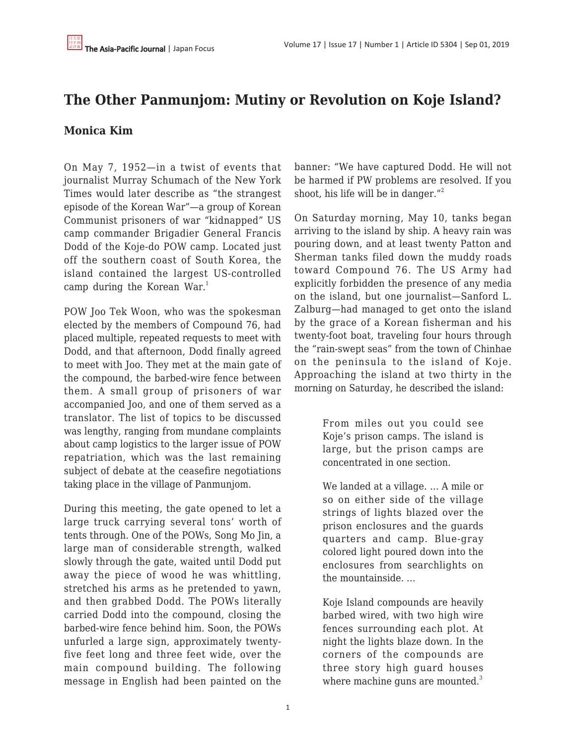## **The Other Panmunjom: Mutiny or Revolution on Koje Island?**

### **Monica Kim**

On May 7, 1952—in a twist of events that journalist Murray Schumach of the New York Times would later describe as "the strangest episode of the Korean War"—a group of Korean Communist prisoners of war "kidnapped" US camp commander Brigadier General Francis Dodd of the Koje-do POW camp. Located just off the southern coast of South Korea, the island contained the largest US-controlled camp during the Korean War.<sup>1</sup>

POW Joo Tek Woon, who was the spokesman elected by the members of Compound 76, had placed multiple, repeated requests to meet with Dodd, and that afternoon, Dodd finally agreed to meet with Joo. They met at the main gate of the compound, the barbed-wire fence between them. A small group of prisoners of war accompanied Joo, and one of them served as a translator. The list of topics to be discussed was lengthy, ranging from mundane complaints about camp logistics to the larger issue of POW repatriation, which was the last remaining subject of debate at the ceasefire negotiations taking place in the village of Panmunjom.

During this meeting, the gate opened to let a large truck carrying several tons' worth of tents through. One of the POWs, Song Mo Jin, a large man of considerable strength, walked slowly through the gate, waited until Dodd put away the piece of wood he was whittling, stretched his arms as he pretended to yawn, and then grabbed Dodd. The POWs literally carried Dodd into the compound, closing the barbed-wire fence behind him. Soon, the POWs unfurled a large sign, approximately twentyfive feet long and three feet wide, over the main compound building. The following message in English had been painted on the banner: "We have captured Dodd. He will not be harmed if PW problems are resolved. If you shoot, his life will be in danger. $^{\prime\prime}$ <sup>2</sup>

On Saturday morning, May 10, tanks began arriving to the island by ship. A heavy rain was pouring down, and at least twenty Patton and Sherman tanks filed down the muddy roads toward Compound 76. The US Army had explicitly forbidden the presence of any media on the island, but one journalist—Sanford L. Zalburg—had managed to get onto the island by the grace of a Korean fisherman and his twenty-foot boat, traveling four hours through the "rain-swept seas" from the town of Chinhae on the peninsula to the island of Koje. Approaching the island at two thirty in the morning on Saturday, he described the island:

> From miles out you could see Koje's prison camps. The island is large, but the prison camps are concentrated in one section.

> We landed at a village. … A mile or so on either side of the village strings of lights blazed over the prison enclosures and the guards quarters and camp. Blue-gray colored light poured down into the enclosures from searchlights on the mountainside. …

> Koje Island compounds are heavily barbed wired, with two high wire fences surrounding each plot. At night the lights blaze down. In the corners of the compounds are three story high guard houses where machine guns are mounted.<sup>3</sup>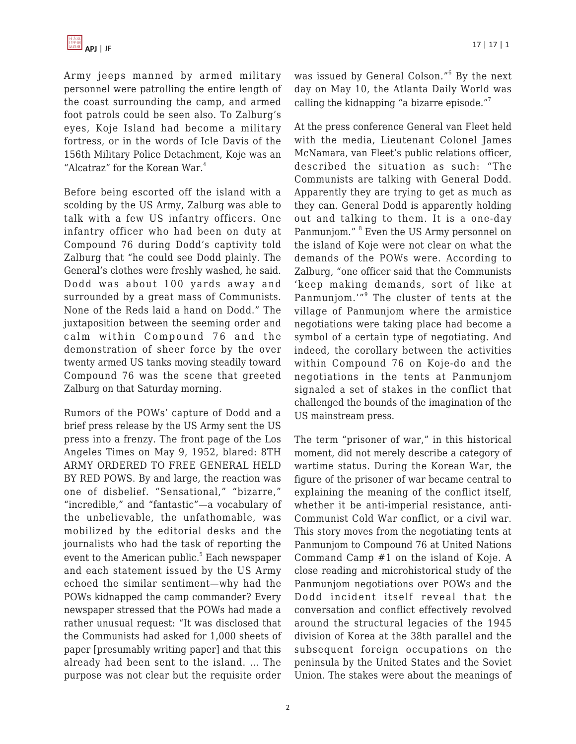Army jeeps manned by armed military personnel were patrolling the entire length of the coast surrounding the camp, and armed foot patrols could be seen also. To Zalburg's eyes, Koje Island had become a military fortress, or in the words of Icle Davis of the 156th Military Police Detachment, Koje was an "Alcatraz" for the Korean War. $4$ 

Before being escorted off the island with a scolding by the US Army, Zalburg was able to talk with a few US infantry officers. One infantry officer who had been on duty at Compound 76 during Dodd's captivity told Zalburg that "he could see Dodd plainly. The General's clothes were freshly washed, he said. Dodd was about 100 yards away and surrounded by a great mass of Communists. None of the Reds laid a hand on Dodd." The juxtaposition between the seeming order and calm within Compound 76 and the demonstration of sheer force by the over twenty armed US tanks moving steadily toward Compound 76 was the scene that greeted Zalburg on that Saturday morning.

Rumors of the POWs' capture of Dodd and a brief press release by the US Army sent the US press into a frenzy. The front page of the Los Angeles Times on May 9, 1952, blared: 8TH ARMY ORDERED TO FREE GENERAL HELD BY RED POWS. By and large, the reaction was one of disbelief. "Sensational," "bizarre," "incredible," and "fantastic"—a vocabulary of the unbelievable, the unfathomable, was mobilized by the editorial desks and the journalists who had the task of reporting the event to the American public.<sup>5</sup> Each newspaper and each statement issued by the US Army echoed the similar sentiment—why had the POWs kidnapped the camp commander? Every newspaper stressed that the POWs had made a rather unusual request: "It was disclosed that the Communists had asked for 1,000 sheets of paper [presumably writing paper] and that this already had been sent to the island. … The purpose was not clear but the requisite order

was issued by General Colson."<sup>6</sup> By the next day on May 10, the Atlanta Daily World was calling the kidnapping "a bizarre episode."<sup>7</sup>

At the press conference General van Fleet held with the media, Lieutenant Colonel James McNamara, van Fleet's public relations officer, described the situation as such: "The Communists are talking with General Dodd. Apparently they are trying to get as much as they can. General Dodd is apparently holding out and talking to them. It is a one-day Panmunjom." <sup>8</sup> Even the US Army personnel on the island of Koje were not clear on what the demands of the POWs were. According to Zalburg, "one officer said that the Communists 'keep making demands, sort of like at Panmunjom.'"<sup>9</sup> The cluster of tents at the village of Panmunjom where the armistice negotiations were taking place had become a symbol of a certain type of negotiating. And indeed, the corollary between the activities within Compound 76 on Koje-do and the negotiations in the tents at Panmunjom signaled a set of stakes in the conflict that challenged the bounds of the imagination of the US mainstream press.

The term "prisoner of war," in this historical moment, did not merely describe a category of wartime status. During the Korean War, the figure of the prisoner of war became central to explaining the meaning of the conflict itself, whether it be anti-imperial resistance, anti-Communist Cold War conflict, or a civil war. This story moves from the negotiating tents at Panmunjom to Compound 76 at United Nations Command Camp #1 on the island of Koje. A close reading and microhistorical study of the Panmunjom negotiations over POWs and the Dodd incident itself reveal that the conversation and conflict effectively revolved around the structural legacies of the 1945 division of Korea at the 38th parallel and the subsequent foreign occupations on the peninsula by the United States and the Soviet Union. The stakes were about the meanings of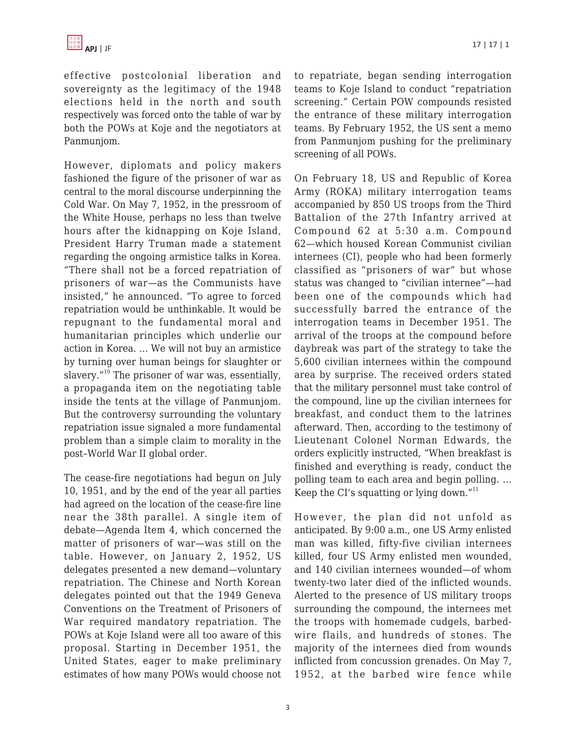effective postcolonial liberation and sovereignty as the legitimacy of the 1948 elections held in the north and south respectively was forced onto the table of war by both the POWs at Koje and the negotiators at Panmunjom.

However, diplomats and policy makers fashioned the figure of the prisoner of war as central to the moral discourse underpinning the Cold War. On May 7, 1952, in the pressroom of the White House, perhaps no less than twelve hours after the kidnapping on Koje Island, President Harry Truman made a statement regarding the ongoing armistice talks in Korea. "There shall not be a forced repatriation of prisoners of war—as the Communists have insisted," he announced. "To agree to forced repatriation would be unthinkable. It would be repugnant to the fundamental moral and humanitarian principles which underlie our action in Korea. … We will not buy an armistice by turning over human beings for slaughter or slavery."<sup>10</sup> The prisoner of war was, essentially, a propaganda item on the negotiating table inside the tents at the village of Panmunjom. But the controversy surrounding the voluntary repatriation issue signaled a more fundamental problem than a simple claim to morality in the post–World War II global order.

The cease-fire negotiations had begun on July 10, 1951, and by the end of the year all parties had agreed on the location of the cease-fire line near the 38th parallel. A single item of debate—Agenda Item 4, which concerned the matter of prisoners of war—was still on the table. However, on January 2, 1952, US delegates presented a new demand—voluntary repatriation. The Chinese and North Korean delegates pointed out that the 1949 Geneva Conventions on the Treatment of Prisoners of War required mandatory repatriation. The POWs at Koje Island were all too aware of this proposal. Starting in December 1951, the United States, eager to make preliminary estimates of how many POWs would choose not to repatriate, began sending interrogation teams to Koje Island to conduct "repatriation screening." Certain POW compounds resisted the entrance of these military interrogation teams. By February 1952, the US sent a memo from Panmunjom pushing for the preliminary screening of all POWs.

On February 18, US and Republic of Korea Army (ROKA) military interrogation teams accompanied by 850 US troops from the Third Battalion of the 27th Infantry arrived at Compound 62 at 5:30 a.m. Compound 62—which housed Korean Communist civilian internees (CI), people who had been formerly classified as "prisoners of war" but whose status was changed to "civilian internee"—had been one of the compounds which had successfully barred the entrance of the interrogation teams in December 1951. The arrival of the troops at the compound before daybreak was part of the strategy to take the 5,600 civilian internees within the compound area by surprise. The received orders stated that the military personnel must take control of the compound, line up the civilian internees for breakfast, and conduct them to the latrines afterward. Then, according to the testimony of Lieutenant Colonel Norman Edwards, the orders explicitly instructed, "When breakfast is finished and everything is ready, conduct the polling team to each area and begin polling. … Keep the CI's squatting or lying down." $11$ 

However, the plan did not unfold as anticipated. By 9:00 a.m., one US Army enlisted man was killed, fifty-five civilian internees killed, four US Army enlisted men wounded, and 140 civilian internees wounded—of whom twenty-two later died of the inflicted wounds. Alerted to the presence of US military troops surrounding the compound, the internees met the troops with homemade cudgels, barbedwire flails, and hundreds of stones. The majority of the internees died from wounds inflicted from concussion grenades. On May 7, 1952, at the barbed wire fence while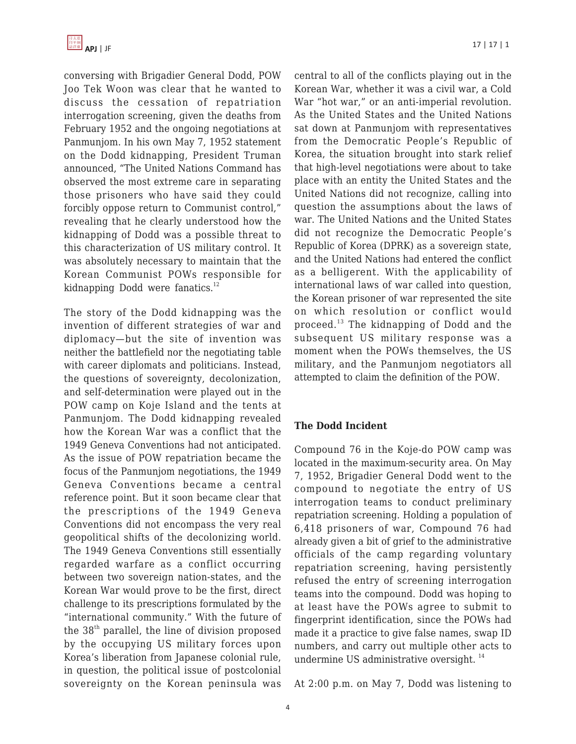

conversing with Brigadier General Dodd, POW Joo Tek Woon was clear that he wanted to discuss the cessation of repatriation interrogation screening, given the deaths from February 1952 and the ongoing negotiations at Panmunjom. In his own May 7, 1952 statement on the Dodd kidnapping, President Truman announced, "The United Nations Command has observed the most extreme care in separating those prisoners who have said they could forcibly oppose return to Communist control," revealing that he clearly understood how the kidnapping of Dodd was a possible threat to this characterization of US military control. It was absolutely necessary to maintain that the Korean Communist POWs responsible for kidnapping Dodd were fanatics.<sup>12</sup>

The story of the Dodd kidnapping was the invention of different strategies of war and diplomacy—but the site of invention was neither the battlefield nor the negotiating table with career diplomats and politicians. Instead, the questions of sovereignty, decolonization, and self-determination were played out in the POW camp on Koje Island and the tents at Panmunjom. The Dodd kidnapping revealed how the Korean War was a conflict that the 1949 Geneva Conventions had not anticipated. As the issue of POW repatriation became the focus of the Panmunjom negotiations, the 1949 Geneva Conventions became a central reference point. But it soon became clear that the prescriptions of the 1949 Geneva Conventions did not encompass the very real geopolitical shifts of the decolonizing world. The 1949 Geneva Conventions still essentially regarded warfare as a conflict occurring between two sovereign nation-states, and the Korean War would prove to be the first, direct challenge to its prescriptions formulated by the "international community." With the future of the 38<sup>th</sup> parallel, the line of division proposed by the occupying US military forces upon Korea's liberation from Japanese colonial rule, in question, the political issue of postcolonial sovereignty on the Korean peninsula was central to all of the conflicts playing out in the Korean War, whether it was a civil war, a Cold War "hot war," or an anti-imperial revolution. As the United States and the United Nations sat down at Panmunjom with representatives from the Democratic People's Republic of Korea, the situation brought into stark relief that high-level negotiations were about to take place with an entity the United States and the United Nations did not recognize, calling into question the assumptions about the laws of war. The United Nations and the United States did not recognize the Democratic People's Republic of Korea (DPRK) as a sovereign state, and the United Nations had entered the conflict as a belligerent. With the applicability of international laws of war called into question, the Korean prisoner of war represented the site on which resolution or conflict would proceed.<sup>13</sup> The kidnapping of Dodd and the subsequent US military response was a moment when the POWs themselves, the US military, and the Panmunjom negotiators all attempted to claim the definition of the POW.

#### **The Dodd Incident**

Compound 76 in the Koje-do POW camp was located in the maximum-security area. On May 7, 1952, Brigadier General Dodd went to the compound to negotiate the entry of US interrogation teams to conduct preliminary repatriation screening. Holding a population of 6,418 prisoners of war, Compound 76 had already given a bit of grief to the administrative officials of the camp regarding voluntary repatriation screening, having persistently refused the entry of screening interrogation teams into the compound. Dodd was hoping to at least have the POWs agree to submit to fingerprint identification, since the POWs had made it a practice to give false names, swap ID numbers, and carry out multiple other acts to undermine US administrative oversight.<sup>14</sup>

At 2:00 p.m. on May 7, Dodd was listening to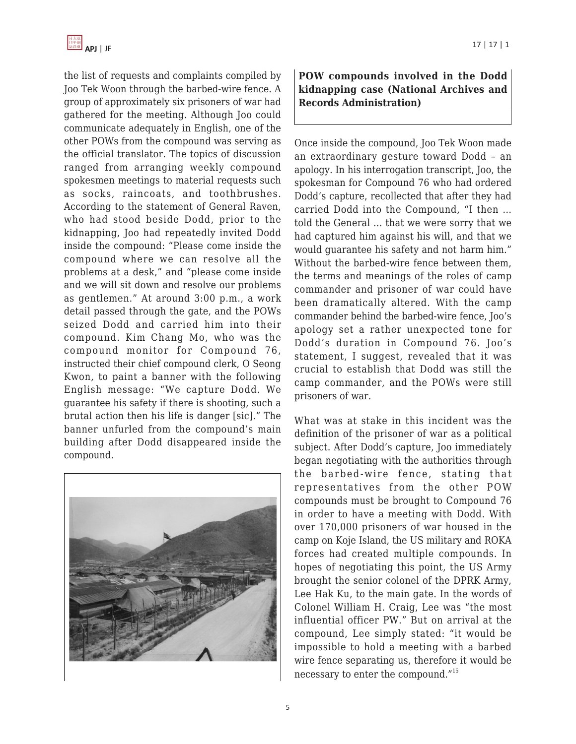

the list of requests and complaints compiled by Joo Tek Woon through the barbed-wire fence. A group of approximately six prisoners of war had gathered for the meeting. Although Joo could communicate adequately in English, one of the other POWs from the compound was serving as the official translator. The topics of discussion ranged from arranging weekly compound spokesmen meetings to material requests such as socks, raincoats, and toothbrushes. According to the statement of General Raven, who had stood beside Dodd, prior to the kidnapping, Joo had repeatedly invited Dodd inside the compound: "Please come inside the compound where we can resolve all the problems at a desk," and "please come inside and we will sit down and resolve our problems as gentlemen." At around 3:00 p.m., a work detail passed through the gate, and the POWs seized Dodd and carried him into their compound. Kim Chang Mo, who was the compound monitor for Compound 76, instructed their chief compound clerk, O Seong Kwon, to paint a banner with the following English message: "We capture Dodd. We guarantee his safety if there is shooting, such a brutal action then his life is danger [sic]." The banner unfurled from the compound's main building after Dodd disappeared inside the compound.



#### **POW compounds involved in the Dodd kidnapping case (National Archives and Records Administration)**

Once inside the compound, Joo Tek Woon made an extraordinary gesture toward Dodd – an apology. In his interrogation transcript, Joo, the spokesman for Compound 76 who had ordered Dodd's capture, recollected that after they had carried Dodd into the Compound, "I then … told the General … that we were sorry that we had captured him against his will, and that we would guarantee his safety and not harm him." Without the barbed-wire fence between them, the terms and meanings of the roles of camp commander and prisoner of war could have been dramatically altered. With the camp commander behind the barbed-wire fence, Joo's apology set a rather unexpected tone for Dodd's duration in Compound 76. Joo's statement, I suggest, revealed that it was crucial to establish that Dodd was still the camp commander, and the POWs were still prisoners of war.

What was at stake in this incident was the definition of the prisoner of war as a political subject. After Dodd's capture, Joo immediately began negotiating with the authorities through the barbed-wire fence, stating that representatives from the other POW compounds must be brought to Compound 76 in order to have a meeting with Dodd. With over 170,000 prisoners of war housed in the camp on Koje Island, the US military and ROKA forces had created multiple compounds. In hopes of negotiating this point, the US Army brought the senior colonel of the DPRK Army, Lee Hak Ku, to the main gate. In the words of Colonel William H. Craig, Lee was "the most influential officer PW." But on arrival at the compound, Lee simply stated: "it would be impossible to hold a meeting with a barbed wire fence separating us, therefore it would be necessary to enter the compound."<sup>15</sup>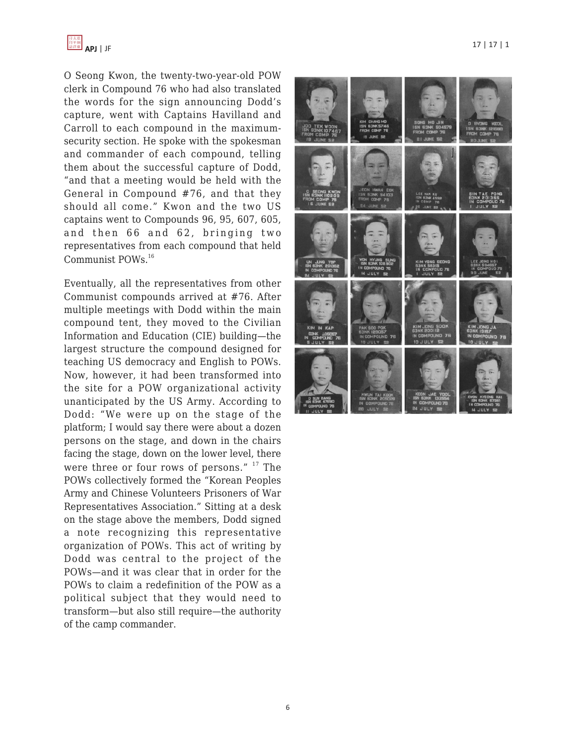

O Seong Kwon, the twenty-two-year-old POW clerk in Compound 76 who had also translated the words for the sign announcing Dodd's capture, went with Captains Havilland and Carroll to each compound in the maximumsecurity section. He spoke with the spokesman and commander of each compound, telling them about the successful capture of Dodd, "and that a meeting would be held with the General in Compound #76, and that they should all come." Kwon and the two US captains went to Compounds 96, 95, 607, 605, and then 66 and 62, bringing two representatives from each compound that held Communist POWs.<sup>16</sup>

Eventually, all the representatives from other Communist compounds arrived at #76. After multiple meetings with Dodd within the main compound tent, they moved to the Civilian Information and Education (CIE) building—the largest structure the compound designed for teaching US democracy and English to POWs. Now, however, it had been transformed into the site for a POW organizational activity unanticipated by the US Army. According to Dodd: "We were up on the stage of the platform; I would say there were about a dozen persons on the stage, and down in the chairs facing the stage, down on the lower level, there were three or four rows of persons."  $17$  The POWs collectively formed the "Korean Peoples Army and Chinese Volunteers Prisoners of War Representatives Association." Sitting at a desk on the stage above the members, Dodd signed a note recognizing this representative organization of POWs. This act of writing by Dodd was central to the project of the POWs—and it was clear that in order for the POWs to claim a redefinition of the POW as a political subject that they would need to transform—but also still require—the authority of the camp commander.

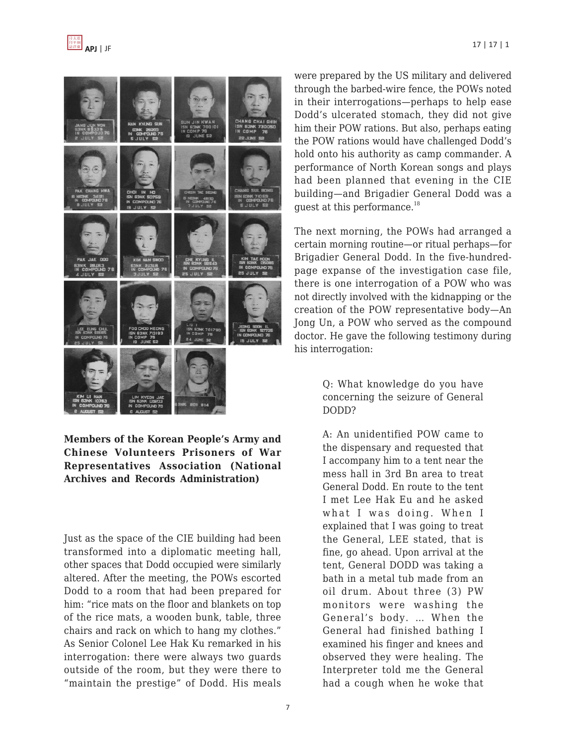

#### **Members of the Korean People's Army and Chinese Volunteers Prisoners of War Representatives Association (National Archives and Records Administration)**

Just as the space of the CIE building had been transformed into a diplomatic meeting hall, other spaces that Dodd occupied were similarly altered. After the meeting, the POWs escorted Dodd to a room that had been prepared for him: "rice mats on the floor and blankets on top of the rice mats, a wooden bunk, table, three chairs and rack on which to hang my clothes." As Senior Colonel Lee Hak Ku remarked in his interrogation: there were always two guards outside of the room, but they were there to "maintain the prestige" of Dodd. His meals

were prepared by the US military and delivered through the barbed-wire fence, the POWs noted in their interrogations—perhaps to help ease Dodd's ulcerated stomach, they did not give him their POW rations. But also, perhaps eating the POW rations would have challenged Dodd's hold onto his authority as camp commander. A performance of North Korean songs and plays had been planned that evening in the CIE building—and Brigadier General Dodd was a quest at this performance.<sup>18</sup>

The next morning, the POWs had arranged a certain morning routine—or ritual perhaps—for Brigadier General Dodd. In the five-hundredpage expanse of the investigation case file, there is one interrogation of a POW who was not directly involved with the kidnapping or the creation of the POW representative body—An Jong Un, a POW who served as the compound doctor. He gave the following testimony during his interrogation:

> Q: What knowledge do you have concerning the seizure of General DODD?

A: An unidentified POW came to the dispensary and requested that I accompany him to a tent near the mess hall in 3rd Bn area to treat General Dodd. En route to the tent I met Lee Hak Eu and he asked what I was doing. When I explained that I was going to treat the General, LEE stated, that is fine, go ahead. Upon arrival at the tent, General DODD was taking a bath in a metal tub made from an oil drum. About three (3) PW monitors were washing the General's body. … When the General had finished bathing I examined his finger and knees and observed they were healing. The Interpreter told me the General had a cough when he woke that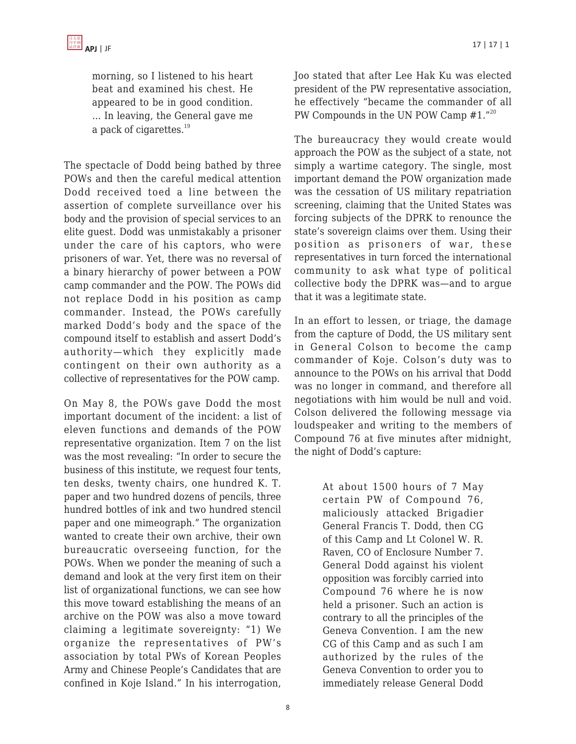morning, so I listened to his heart beat and examined his chest. He appeared to be in good condition. … In leaving, the General gave me a pack of cigarettes.<sup>19</sup>

The spectacle of Dodd being bathed by three POWs and then the careful medical attention Dodd received toed a line between the assertion of complete surveillance over his body and the provision of special services to an elite guest. Dodd was unmistakably a prisoner under the care of his captors, who were prisoners of war. Yet, there was no reversal of a binary hierarchy of power between a POW camp commander and the POW. The POWs did not replace Dodd in his position as camp commander. Instead, the POWs carefully marked Dodd's body and the space of the compound itself to establish and assert Dodd's authority—which they explicitly made contingent on their own authority as a collective of representatives for the POW camp.

On May 8, the POWs gave Dodd the most important document of the incident: a list of eleven functions and demands of the POW representative organization. Item 7 on the list was the most revealing: "In order to secure the business of this institute, we request four tents, ten desks, twenty chairs, one hundred K. T. paper and two hundred dozens of pencils, three hundred bottles of ink and two hundred stencil paper and one mimeograph." The organization wanted to create their own archive, their own bureaucratic overseeing function, for the POWs. When we ponder the meaning of such a demand and look at the very first item on their list of organizational functions, we can see how this move toward establishing the means of an archive on the POW was also a move toward claiming a legitimate sovereignty: "1) We organize the representatives of PW's association by total PWs of Korean Peoples Army and Chinese People's Candidates that are confined in Koje Island." In his interrogation,

Joo stated that after Lee Hak Ku was elected president of the PW representative association, he effectively "became the commander of all PW Compounds in the UN POW Camp #1."<sup>20</sup>

The bureaucracy they would create would approach the POW as the subject of a state, not simply a wartime category. The single, most important demand the POW organization made was the cessation of US military repatriation screening, claiming that the United States was forcing subjects of the DPRK to renounce the state's sovereign claims over them. Using their position as prisoners of war, these representatives in turn forced the international community to ask what type of political collective body the DPRK was—and to argue that it was a legitimate state.

In an effort to lessen, or triage, the damage from the capture of Dodd, the US military sent in General Colson to become the camp commander of Koje. Colson's duty was to announce to the POWs on his arrival that Dodd was no longer in command, and therefore all negotiations with him would be null and void. Colson delivered the following message via loudspeaker and writing to the members of Compound 76 at five minutes after midnight, the night of Dodd's capture:

> At about 1500 hours of 7 May certain PW of Compound 76, maliciously attacked Brigadier General Francis T. Dodd, then CG of this Camp and Lt Colonel W. R. Raven, CO of Enclosure Number 7. General Dodd against his violent opposition was forcibly carried into Compound 76 where he is now held a prisoner. Such an action is contrary to all the principles of the Geneva Convention. I am the new CG of this Camp and as such I am authorized by the rules of the Geneva Convention to order you to immediately release General Dodd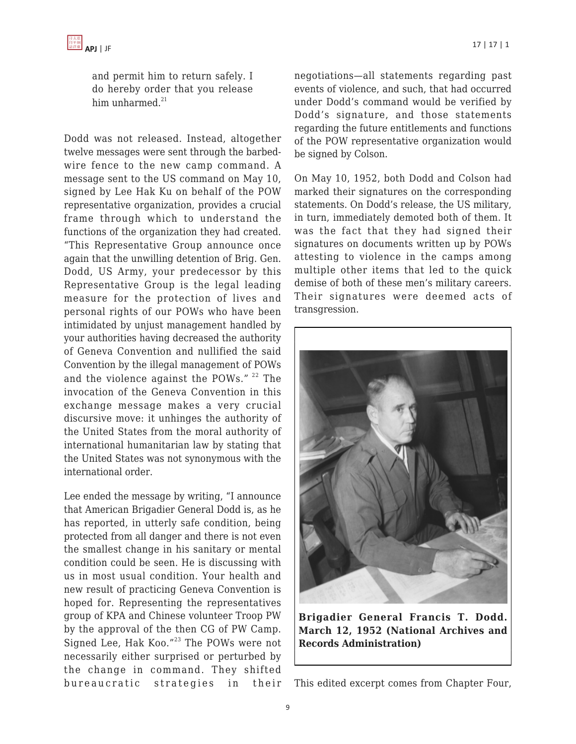and permit him to return safely. I do hereby order that you release him unharmed. $^{21}$ 

Dodd was not released. Instead, altogether twelve messages were sent through the barbedwire fence to the new camp command. A message sent to the US command on May 10, signed by Lee Hak Ku on behalf of the POW representative organization, provides a crucial frame through which to understand the functions of the organization they had created. "This Representative Group announce once again that the unwilling detention of Brig. Gen. Dodd, US Army, your predecessor by this Representative Group is the legal leading measure for the protection of lives and personal rights of our POWs who have been intimidated by unjust management handled by your authorities having decreased the authority of Geneva Convention and nullified the said Convention by the illegal management of POWs and the violence against the POWs."<sup>22</sup> The invocation of the Geneva Convention in this exchange message makes a very crucial discursive move: it unhinges the authority of the United States from the moral authority of international humanitarian law by stating that the United States was not synonymous with the international order.

Lee ended the message by writing, "I announce that American Brigadier General Dodd is, as he has reported, in utterly safe condition, being protected from all danger and there is not even the smallest change in his sanitary or mental condition could be seen. He is discussing with us in most usual condition. Your health and new result of practicing Geneva Convention is hoped for. Representing the representatives group of KPA and Chinese volunteer Troop PW by the approval of the then CG of PW Camp. Signed Lee, Hak Koo."<sup>23</sup> The POWs were not necessarily either surprised or perturbed by the change in command. They shifted bureaucratic strategies in their negotiations—all statements regarding past events of violence, and such, that had occurred under Dodd's command would be verified by Dodd's signature, and those statements regarding the future entitlements and functions of the POW representative organization would be signed by Colson.

On May 10, 1952, both Dodd and Colson had marked their signatures on the corresponding statements. On Dodd's release, the US military, in turn, immediately demoted both of them. It was the fact that they had signed their signatures on documents written up by POWs attesting to violence in the camps among multiple other items that led to the quick demise of both of these men's military careers. Their signatures were deemed acts of transgression.



**Brigadier General Francis T. Dodd. March 12, 1952 (National Archives and Records Administration)**

This edited excerpt comes from Chapter Four,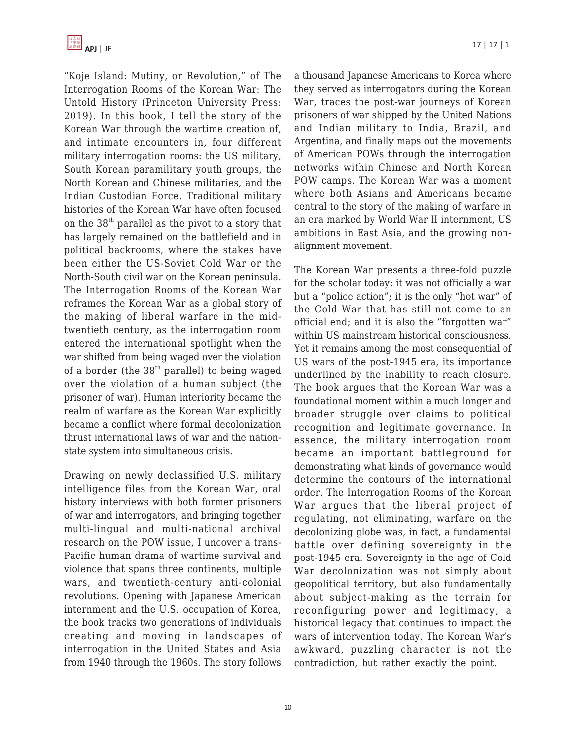"Koje Island: Mutiny, or Revolution," of The Interrogation Rooms of the Korean War: The Untold History (Princeton University Press: 2019). In this book, I tell the story of the Korean War through the wartime creation of, and intimate encounters in, four different military interrogation rooms: the US military, South Korean paramilitary youth groups, the North Korean and Chinese militaries, and the Indian Custodian Force. Traditional military histories of the Korean War have often focused on the  $38<sup>th</sup>$  parallel as the pivot to a story that has largely remained on the battlefield and in political backrooms, where the stakes have been either the US-Soviet Cold War or the North-South civil war on the Korean peninsula. The Interrogation Rooms of the Korean War reframes the Korean War as a global story of the making of liberal warfare in the midtwentieth century, as the interrogation room entered the international spotlight when the war shifted from being waged over the violation of a border (the  $38<sup>th</sup>$  parallel) to being waged over the violation of a human subject (the prisoner of war). Human interiority became the realm of warfare as the Korean War explicitly became a conflict where formal decolonization thrust international laws of war and the nationstate system into simultaneous crisis.

Drawing on newly declassified U.S. military intelligence files from the Korean War, oral history interviews with both former prisoners of war and interrogators, and bringing together multi-lingual and multi-national archival research on the POW issue, I uncover a trans-Pacific human drama of wartime survival and violence that spans three continents, multiple wars, and twentieth-century anti-colonial revolutions. Opening with Japanese American internment and the U.S. occupation of Korea, the book tracks two generations of individuals creating and moving in landscapes of interrogation in the United States and Asia from 1940 through the 1960s. The story follows a thousand Japanese Americans to Korea where they served as interrogators during the Korean War, traces the post-war journeys of Korean prisoners of war shipped by the United Nations and Indian military to India, Brazil, and Argentina, and finally maps out the movements of American POWs through the interrogation networks within Chinese and North Korean POW camps. The Korean War was a moment where both Asians and Americans became central to the story of the making of warfare in an era marked by World War II internment, US ambitions in East Asia, and the growing nonalignment movement.

The Korean War presents a three-fold puzzle for the scholar today: it was not officially a war but a "police action"; it is the only "hot war" of the Cold War that has still not come to an official end; and it is also the "forgotten war" within US mainstream historical consciousness. Yet it remains among the most consequential of US wars of the post-1945 era, its importance underlined by the inability to reach closure. The book argues that the Korean War was a foundational moment within a much longer and broader struggle over claims to political recognition and legitimate governance. In essence, the military interrogation room became an important battleground for demonstrating what kinds of governance would determine the contours of the international order. The Interrogation Rooms of the Korean War argues that the liberal project of regulating, not eliminating, warfare on the decolonizing globe was, in fact, a fundamental battle over defining sovereignty in the post-1945 era. Sovereignty in the age of Cold War decolonization was not simply about geopolitical territory, but also fundamentally about subject-making as the terrain for reconfiguring power and legitimacy, a historical legacy that continues to impact the wars of intervention today. The Korean War's awkward, puzzling character is not the contradiction, but rather exactly the point.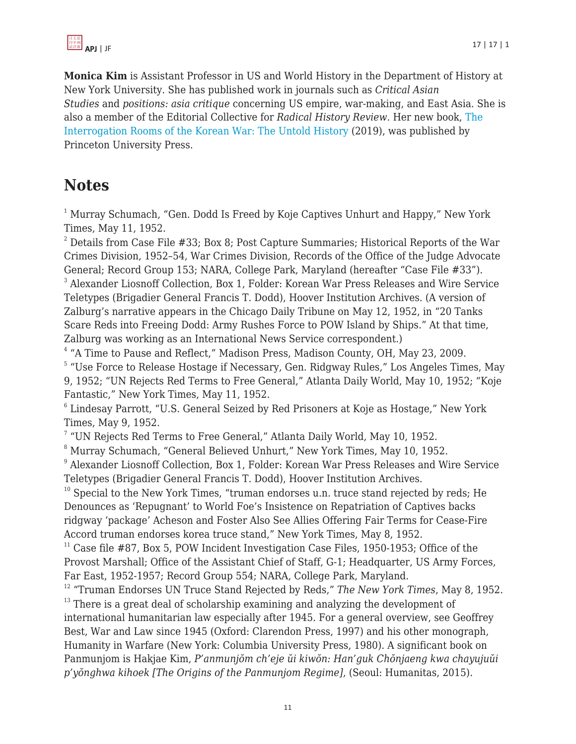**Monica Kim** is Assistant Professor in US and World History in the Department of History at New York University. She has published work in journals such as *Critical Asian Studies* and *positions: asia critique* concerning US empire, war-making, and East Asia. She is also a member of the Editorial Collective for *Radical History Review*. Her new book, [The](https://press.princeton.edu/titles/13302.html) [Interrogation Rooms of the Korean War: The Untold History](https://press.princeton.edu/titles/13302.html) (2019), was published by Princeton University Press.

# **Notes**

<sup>1</sup> Murray Schumach, "Gen. Dodd Is Freed by Koje Captives Unhurt and Happy," New York Times, May 11, 1952.

 $2$  Details from Case File #33; Box 8; Post Capture Summaries; Historical Reports of the War Crimes Division, 1952–54, War Crimes Division, Records of the Office of the Judge Advocate General; Record Group 153; NARA, College Park, Maryland (hereafter "Case File #33").

3 Alexander Liosnoff Collection, Box 1, Folder: Korean War Press Releases and Wire Service Teletypes (Brigadier General Francis T. Dodd), Hoover Institution Archives. (A version of Zalburg's narrative appears in the Chicago Daily Tribune on May 12, 1952, in "20 Tanks Scare Reds into Freeing Dodd: Army Rushes Force to POW Island by Ships." At that time, Zalburg was working as an International News Service correspondent.)

<sup>4</sup> "A Time to Pause and Reflect," Madison Press, Madison County, OH, May 23, 2009.

<sup>5</sup> "Use Force to Release Hostage if Necessary, Gen. Ridgway Rules," Los Angeles Times, May 9, 1952; "UN Rejects Red Terms to Free General," Atlanta Daily World, May 10, 1952; "Koje Fantastic," New York Times, May 11, 1952.

 $^6$  Lindesay Parrott, "U.S. General Seized by Red Prisoners at Koje as Hostage," New York Times, May 9, 1952.

 $7$  "UN Rejects Red Terms to Free General," Atlanta Daily World, May 10, 1952.

<sup>8</sup> Murray Schumach, "General Believed Unhurt," New York Times, May 10, 1952.

9 Alexander Liosnoff Collection, Box 1, Folder: Korean War Press Releases and Wire Service Teletypes (Brigadier General Francis T. Dodd), Hoover Institution Archives.

 $10$  Special to the New York Times, "truman endorses u.n. truce stand rejected by reds; He Denounces as 'Repugnant' to World Foe's Insistence on Repatriation of Captives backs ridgway 'package' Acheson and Foster Also See Allies Offering Fair Terms for Cease-Fire Accord truman endorses korea truce stand," New York Times, May 8, 1952.

 $11$  Case file #87, Box 5, POW Incident Investigation Case Files, 1950-1953; Office of the Provost Marshall; Office of the Assistant Chief of Staff, G-1; Headquarter, US Army Forces, Far East, 1952-1957; Record Group 554; NARA, College Park, Maryland.

<sup>12</sup> "Truman Endorses UN Truce Stand Rejected by Reds," *The New York Times*, May 8, 1952.  $13$  There is a great deal of scholarship examining and analyzing the development of international humanitarian law especially after 1945. For a general overview, see Geoffrey Best, War and Law since 1945 (Oxford: Clarendon Press, 1997) and his other monograph, Humanity in Warfare (New York: Columbia University Press, 1980). A significant book on Panmunjom is Hakjae Kim, *P'anmunjŏm ch'eje ŭi kiwŏn: Han'guk Chŏnjaeng kwa chayujuŭi p'yŏnghwa kihoek [The Origins of the Panmunjom Regime]*, (Seoul: Humanitas, 2015).